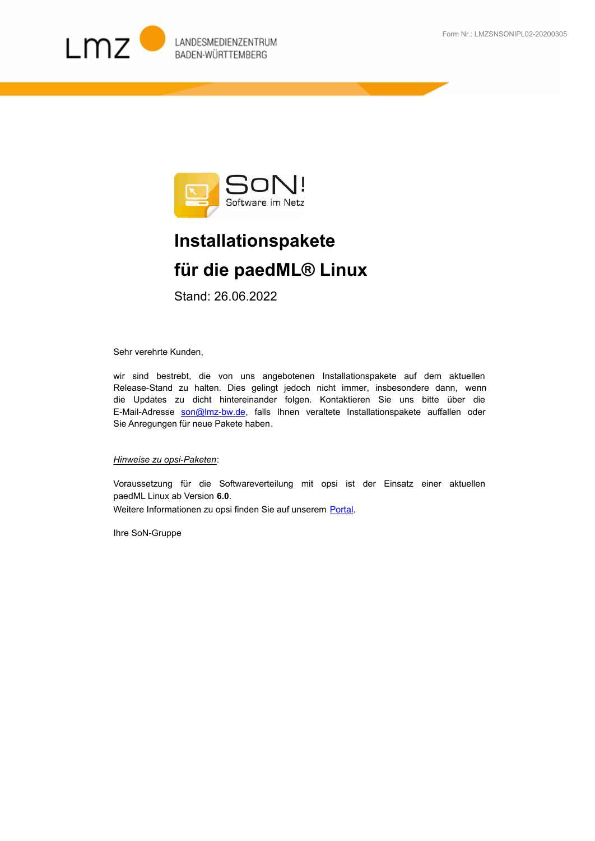



## **Installationspakete für die paedML® Linux**

Stand: 26.06.2022

Sehr verehrte Kunden,

wir sind bestrebt, die von uns angebotenen Installationspakete auf dem aktuellen Release-Stand zu halten. Dies gelingt jedoch nicht immer, insbesondere dann, wenn [die Updates zu dicht hintereinander folgen. Kontaktieren Sie uns bitte über die](mailto:son@lmz-bw.de)  E-Mail-Adresse son@Imz-bw.de, falls Ihnen veraltete Installationspakete auffallen oder Sie Anregungen für neue Pakete haben.

## *Hinweise zu opsi-Paketen*:

Voraussetzung für die Softwareverteilung mit opsi ist der Einsatz einer aktuellen paedML Linux ab Version **6.0**. Weitere Informationen zu opsi finden Sie auf unserem Portal.

Ihre SoN-Gruppe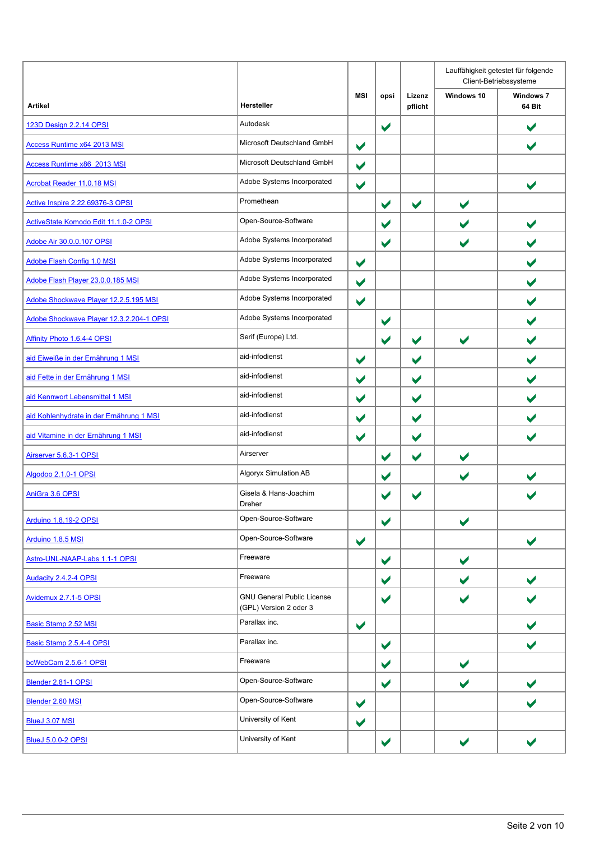|                                          |                                                             |                      |                       |                      | Lauffähigkeit getestet für folgende<br>Client-Betriebssysteme |                            |  |
|------------------------------------------|-------------------------------------------------------------|----------------------|-----------------------|----------------------|---------------------------------------------------------------|----------------------------|--|
| <b>Artikel</b>                           | <b>Hersteller</b>                                           | <b>MSI</b>           | opsi                  | Lizenz<br>pflicht    | Windows 10                                                    | <b>Windows 7</b><br>64 Bit |  |
| 123D Design 2.2.14 OPSI                  | Autodesk                                                    |                      | $\blacktriangledown$  |                      |                                                               |                            |  |
| Access Runtime x64 2013 MSI              | Microsoft Deutschland GmbH                                  | $\blacktriangledown$ |                       |                      |                                                               | $\blacktriangledown$       |  |
| Access Runtime x86 2013 MSI              | Microsoft Deutschland GmbH                                  | $\blacktriangledown$ |                       |                      |                                                               |                            |  |
| <b>Acrobat Reader 11.0.18 MSI</b>        | Adobe Systems Incorporated                                  | $\blacktriangledown$ |                       |                      |                                                               | $\blacktriangleright$      |  |
| Active Inspire 2.22.69376-3 OPSI         | Promethean                                                  |                      | $\blacktriangledown$  | $\blacktriangledown$ | $\blacktriangledown$                                          |                            |  |
| ActiveState Komodo Edit 11.1.0-2 OPSI    | Open-Source-Software                                        |                      | $\blacktriangledown$  |                      | $\blacktriangledown$                                          | $\blacktriangledown$       |  |
| Adobe Air 30.0.0.107 OPSI                | Adobe Systems Incorporated                                  |                      | $\blacktriangledown$  |                      | $\blacktriangledown$                                          | V                          |  |
| Adobe Flash Config 1.0 MSI               | Adobe Systems Incorporated                                  | $\blacktriangledown$ |                       |                      |                                                               |                            |  |
| Adobe Flash Player 23.0.0.185 MSI        | Adobe Systems Incorporated                                  | $\blacktriangledown$ |                       |                      |                                                               |                            |  |
| Adobe Shockwave Player 12.2.5.195 MSI    | Adobe Systems Incorporated                                  | $\blacktriangledown$ |                       |                      |                                                               | $\blacktriangleright$      |  |
| Adobe Shockwave Player 12.3.2.204-1 OPSI | Adobe Systems Incorporated                                  |                      | $\blacktriangledown$  |                      |                                                               | V                          |  |
| Affinity Photo 1.6.4-4 OPSI              | Serif (Europe) Ltd.                                         |                      | $\blacktriangledown$  | $\blacktriangledown$ | $\blacktriangledown$                                          |                            |  |
| aid Eiweiße in der Ernährung 1 MSI       | aid-infodienst                                              | $\blacktriangledown$ |                       | $\blacktriangledown$ |                                                               |                            |  |
| aid Fette in der Ernährung 1 MSI         | aid-infodienst                                              | $\blacktriangledown$ |                       | $\blacktriangledown$ |                                                               |                            |  |
| aid Kennwort Lebensmittel 1 MSI          | aid-infodienst                                              | $\blacktriangledown$ |                       | $\blacktriangledown$ |                                                               | V                          |  |
| aid Kohlenhydrate in der Ernährung 1 MSI | aid-infodienst                                              | $\blacktriangledown$ |                       | $\blacktriangledown$ |                                                               |                            |  |
| aid Vitamine in der Ernährung 1 MSI      | aid-infodienst                                              | $\blacktriangledown$ |                       | $\blacktriangledown$ |                                                               |                            |  |
| Airserver 5.6.3-1 OPSI                   | Airserver                                                   |                      | $\blacktriangleright$ | $\blacktriangledown$ | $\blacktriangledown$                                          |                            |  |
| Algodoo 2.1.0-1 OPSI                     | Algoryx Simulation AB                                       |                      | $\blacktriangledown$  |                      | $\blacktriangledown$                                          |                            |  |
| AniGra 3.6 OPSI                          | Gisela & Hans-Joachim<br>Dreher                             |                      |                       | V                    |                                                               |                            |  |
| Arduino 1.8.19-2 OPSI                    | Open-Source-Software                                        |                      | $\blacktriangledown$  |                      | $\blacktriangledown$                                          |                            |  |
| Arduino 1.8.5 MSI                        | Open-Source-Software                                        | $\blacktriangledown$ |                       |                      |                                                               | $\blacktriangledown$       |  |
| Astro-UNL-NAAP-Labs 1.1-1 OPSI           | Freeware                                                    |                      | $\blacktriangledown$  |                      | $\blacktriangledown$                                          |                            |  |
| Audacity 2.4.2-4 OPSI                    | Freeware                                                    |                      | $\blacktriangledown$  |                      | $\blacktriangledown$                                          | $\blacktriangleright$      |  |
| Avidemux 2.7.1-5 OPSI                    | <b>GNU General Public License</b><br>(GPL) Version 2 oder 3 |                      | $\blacktriangledown$  |                      | $\blacktriangleright$                                         |                            |  |
| Basic Stamp 2.52 MSI                     | Parallax inc.                                               | $\blacktriangledown$ |                       |                      |                                                               |                            |  |
| Basic Stamp 2.5.4-4 OPSI                 | Parallax inc.                                               |                      | $\blacktriangledown$  |                      |                                                               | $\blacktriangleright$      |  |
| bcWebCam 2.5.6-1 OPSI                    | Freeware                                                    |                      | $\blacktriangledown$  |                      | $\blacktriangledown$                                          |                            |  |
| Blender 2.81-1 OPSI                      | Open-Source-Software                                        |                      | $\blacktriangledown$  |                      | $\blacktriangledown$                                          |                            |  |
| Blender 2.60 MSI                         | Open-Source-Software                                        | $\blacktriangledown$ |                       |                      |                                                               |                            |  |
| <b>BlueJ 3.07 MSI</b>                    | University of Kent                                          | $\blacktriangledown$ |                       |                      |                                                               |                            |  |
| <b>BlueJ 5.0.0-2 OPSI</b>                | University of Kent                                          |                      | $\blacktriangledown$  |                      | $\blacktriangledown$                                          |                            |  |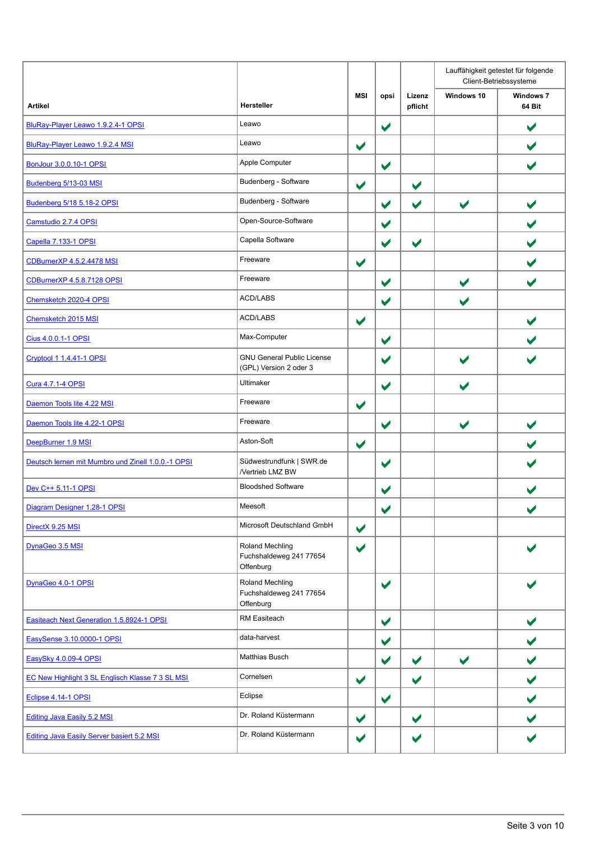|                                                    |                                                             |                      |                       |                      |                       | Lauffähigkeit getestet für folgende<br>Client-Betriebssysteme |
|----------------------------------------------------|-------------------------------------------------------------|----------------------|-----------------------|----------------------|-----------------------|---------------------------------------------------------------|
| <b>Artikel</b>                                     | Hersteller                                                  | <b>MSI</b>           | opsi                  | Lizenz<br>pflicht    | Windows 10            | <b>Windows 7</b><br>64 Bit                                    |
| BluRay-Player Leawo 1.9.2.4-1 OPSI                 | Leawo                                                       |                      | $\blacktriangledown$  |                      |                       | $\blacktriangledown$                                          |
| BluRay-Player Leawo 1.9.2.4 MSI                    | Leawo                                                       | $\blacktriangledown$ |                       |                      |                       | $\blacktriangledown$                                          |
| BonJour 3.0.0.10-1 OPSI                            | Apple Computer                                              |                      | $\blacktriangledown$  |                      |                       | $\blacktriangleright$                                         |
| Budenberg 5/13-03 MSI                              | Budenberg - Software                                        | $\blacktriangledown$ |                       | $\blacktriangledown$ |                       |                                                               |
| Budenberg 5/18 5.18-2 OPSI                         | Budenberg - Software                                        |                      | $\blacktriangledown$  | $\blacktriangledown$ | $\blacktriangledown$  | $\blacktriangledown$                                          |
| Camstudio 2.7.4 OPSI                               | Open-Source-Software                                        |                      | $\blacktriangledown$  |                      |                       | $\blacktriangleright$                                         |
| Capella 7.133-1 OPSI                               | Capella Software                                            |                      | $\blacktriangledown$  | $\blacktriangledown$ |                       |                                                               |
| CDBurnerXP 4.5.2.4478 MSI                          | Freeware                                                    | $\blacktriangledown$ |                       |                      |                       |                                                               |
| CDBurnerXP 4.5.8.7128 OPSI                         | Freeware                                                    |                      | $\blacktriangledown$  |                      | $\blacktriangledown$  |                                                               |
| Chemsketch 2020-4 OPSI                             | ACD/LABS                                                    |                      | $\blacktriangledown$  |                      | $\blacktriangleright$ |                                                               |
| Chemsketch 2015 MSI                                | <b>ACD/LABS</b>                                             | $\blacktriangledown$ |                       |                      |                       | $\blacktriangleright$                                         |
| Cius 4.0.0.1-1 OPSI                                | Max-Computer                                                |                      | $\blacktriangleright$ |                      |                       |                                                               |
| <b>Cryptool 1 1.4.41-1 OPSI</b>                    | <b>GNU General Public License</b><br>(GPL) Version 2 oder 3 |                      | $\blacktriangledown$  |                      |                       |                                                               |
| Cura 4.7.1-4 OPSI                                  | Ultimaker                                                   |                      | $\blacktriangledown$  |                      | $\blacktriangleright$ |                                                               |
| Daemon Tools lite 4.22 MSI                         | Freeware                                                    | $\blacktriangledown$ |                       |                      |                       |                                                               |
| Daemon Tools lite 4.22-1 OPSI                      | Freeware                                                    |                      | $\blacktriangledown$  |                      | $\blacktriangledown$  |                                                               |
| DeepBurner 1.9 MSI                                 | Aston-Soft                                                  | $\blacktriangledown$ |                       |                      |                       |                                                               |
| Deutsch lernen mit Mumbro und Zinell 1.0.0.-1 OPSI | Südwestrundfunk   SWR.de<br>/Vertrieb LMZ BW                |                      | $\blacktriangledown$  |                      |                       |                                                               |
| Dev C++ 5.11-1 OPSI                                | <b>Bloodshed Software</b>                                   |                      | $\blacktriangledown$  |                      |                       |                                                               |
| Diagram Designer 1.28-1 OPSI                       | Meesoft                                                     |                      | $\blacktriangleright$ |                      |                       |                                                               |
| DirectX 9.25 MSI                                   | Microsoft Deutschland GmbH                                  | $\blacktriangledown$ |                       |                      |                       |                                                               |
| DynaGeo 3.5 MSI                                    | Roland Mechling<br>Fuchshaldeweg 241 77654<br>Offenburg     | $\blacktriangledown$ |                       |                      |                       |                                                               |
| DynaGeo 4.0-1 OPSI                                 | Roland Mechling<br>Fuchshaldeweg 241 77654<br>Offenburg     |                      | $\blacktriangledown$  |                      |                       |                                                               |
| Easiteach Next Generation 1.5.8924-1 OPSI          | <b>RM Easiteach</b>                                         |                      | $\blacktriangledown$  |                      |                       | $\blacktriangleright$                                         |
| EasySense 3.10.0000-1 OPSI                         | data-harvest                                                |                      | $\blacktriangledown$  |                      |                       |                                                               |
| EasySky 4.0.09-4 OPSI                              | Matthias Busch                                              |                      | $\blacktriangledown$  | $\blacktriangledown$ | $\blacktriangledown$  | V                                                             |
| EC New Highlight 3 SL Englisch Klasse 7 3 SL MSI   | Cornelsen                                                   | $\blacktriangledown$ |                       | $\blacktriangledown$ |                       | $\blacktriangledown$                                          |
| Eclipse 4.14-1 OPSI                                | Eclipse                                                     |                      | $\blacktriangledown$  |                      |                       |                                                               |
| <b>Editing Java Easily 5.2 MSI</b>                 | Dr. Roland Küstermann                                       | $\blacktriangledown$ |                       | $\blacktriangledown$ |                       |                                                               |
| <b>Editing Java Easily Server basiert 5.2 MSI</b>  | Dr. Roland Küstermann                                       | ✔                    |                       | ✔                    |                       |                                                               |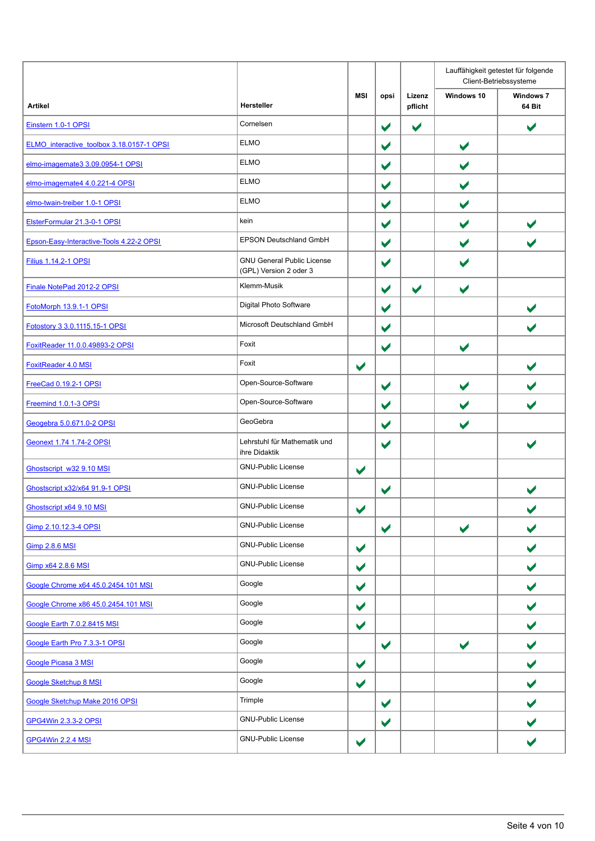|                                           |                                                             |                      |                      |                      | Lauffähigkeit getestet für folgende<br>Client-Betriebssysteme |                            |  |
|-------------------------------------------|-------------------------------------------------------------|----------------------|----------------------|----------------------|---------------------------------------------------------------|----------------------------|--|
| <b>Artikel</b>                            | Hersteller                                                  | <b>MSI</b>           | opsi                 | Lizenz<br>pflicht    | Windows 10                                                    | <b>Windows 7</b><br>64 Bit |  |
| Einstern 1.0-1 OPSI                       | Cornelsen                                                   |                      | $\blacktriangledown$ | $\blacktriangledown$ |                                                               | $\blacktriangledown$       |  |
| ELMO interactive toolbox 3.18.0157-1 OPSI | <b>ELMO</b>                                                 |                      | $\blacktriangledown$ |                      | $\blacktriangledown$                                          |                            |  |
| elmo-imagemate3 3.09.0954-1 OPSI          | <b>ELMO</b>                                                 |                      | $\blacktriangledown$ |                      | $\blacktriangledown$                                          |                            |  |
| elmo-imagemate4 4.0.221-4 OPSI            | <b>ELMO</b>                                                 |                      | $\blacktriangledown$ |                      | $\blacktriangledown$                                          |                            |  |
| elmo-twain-treiber 1.0-1 OPSI             | <b>ELMO</b>                                                 |                      | $\blacktriangledown$ |                      | $\blacktriangledown$                                          |                            |  |
| ElsterFormular 21.3-0-1 OPSI              | kein                                                        |                      | $\blacktriangledown$ |                      | $\blacktriangledown$                                          | $\blacktriangleright$      |  |
| Epson-Easy-Interactive-Tools 4.22-2 OPSI  | EPSON Deutschland GmbH                                      |                      | $\blacktriangledown$ |                      | $\blacktriangledown$                                          | $\blacktriangleright$      |  |
| <b>Filius 1.14.2-1 OPSI</b>               | <b>GNU General Public License</b><br>(GPL) Version 2 oder 3 |                      | $\blacktriangledown$ |                      | $\blacktriangledown$                                          |                            |  |
| Finale NotePad 2012-2 OPSI                | Klemm-Musik                                                 |                      | $\blacktriangledown$ | $\blacktriangledown$ | $\blacktriangledown$                                          |                            |  |
| FotoMorph 13.9.1-1 OPSI                   | Digital Photo Software                                      |                      | $\blacktriangledown$ |                      |                                                               | $\blacktriangledown$       |  |
| Fotostory 3 3.0.1115.15-1 OPSI            | Microsoft Deutschland GmbH                                  |                      | $\blacktriangledown$ |                      |                                                               |                            |  |
| FoxitReader 11.0.0.49893-2 OPSI           | Foxit                                                       |                      | $\blacktriangledown$ |                      | $\blacktriangleright$                                         |                            |  |
| FoxitReader 4.0 MSI                       | Foxit                                                       | $\blacktriangledown$ |                      |                      |                                                               | $\blacktriangleright$      |  |
| FreeCad 0.19.2-1 OPSI                     | Open-Source-Software                                        |                      | $\blacktriangledown$ |                      | $\blacktriangledown$                                          | V                          |  |
| Freemind 1.0.1-3 OPSI                     | Open-Source-Software                                        |                      | $\blacktriangledown$ |                      | $\blacktriangledown$                                          | $\blacktriangleright$      |  |
| Geogebra 5.0.671.0-2 OPSI                 | GeoGebra                                                    |                      | $\blacktriangledown$ |                      | $\blacktriangledown$                                          |                            |  |
| Geonext 1.74 1.74-2 OPSI                  | Lehrstuhl für Mathematik und<br>ihre Didaktik               |                      | $\blacktriangledown$ |                      |                                                               |                            |  |
| Ghostscript w32 9.10 MSI                  | <b>GNU-Public License</b>                                   | $\blacktriangledown$ |                      |                      |                                                               |                            |  |
| Ghostscript x32/x64 91.9-1 OPSI           | <b>GNU-Public License</b>                                   |                      | $\blacktriangledown$ |                      |                                                               |                            |  |
| Ghostscript x64 9.10 MSI                  | <b>GNU-Public License</b>                                   | $\blacktriangledown$ |                      |                      |                                                               |                            |  |
| Gimp 2.10.12.3-4 OPSI                     | <b>GNU-Public License</b>                                   |                      | $\blacktriangledown$ |                      | $\blacktriangledown$                                          | $\blacktriangleright$      |  |
| <b>Gimp 2.8.6 MSI</b>                     | <b>GNU-Public License</b>                                   | $\blacktriangledown$ |                      |                      |                                                               | $\blacktriangledown$       |  |
| Gimp x64 2.8.6 MSI                        | <b>GNU-Public License</b>                                   | $\blacktriangledown$ |                      |                      |                                                               | $\blacktriangledown$       |  |
| Google Chrome x64 45.0.2454.101 MSI       | Google                                                      | $\blacktriangledown$ |                      |                      |                                                               |                            |  |
| Google Chrome x86 45.0.2454.101 MSI       | Google                                                      | $\blacktriangledown$ |                      |                      |                                                               | $\blacktriangledown$       |  |
| Google Earth 7.0.2.8415 MSI               | Google                                                      | $\blacktriangledown$ |                      |                      |                                                               | ✔                          |  |
| Google Earth Pro 7.3.3-1 OPSI             | Google                                                      |                      | $\blacktriangledown$ |                      | $\blacktriangledown$                                          | $\blacktriangleright$      |  |
| Google Picasa 3 MSI                       | Google                                                      | $\blacktriangledown$ |                      |                      |                                                               |                            |  |
| <b>Google Sketchup 8 MSI</b>              | Google                                                      | $\blacktriangledown$ |                      |                      |                                                               |                            |  |
| Google Sketchup Make 2016 OPSI            | Trimple                                                     |                      | $\blacktriangledown$ |                      |                                                               | ✔                          |  |
| GPG4Win 2.3.3-2 OPSI                      | <b>GNU-Public License</b>                                   |                      | $\blacktriangledown$ |                      |                                                               |                            |  |
| <b>GPG4Win 2.2.4 MSI</b>                  | <b>GNU-Public License</b>                                   | $\blacktriangledown$ |                      |                      |                                                               |                            |  |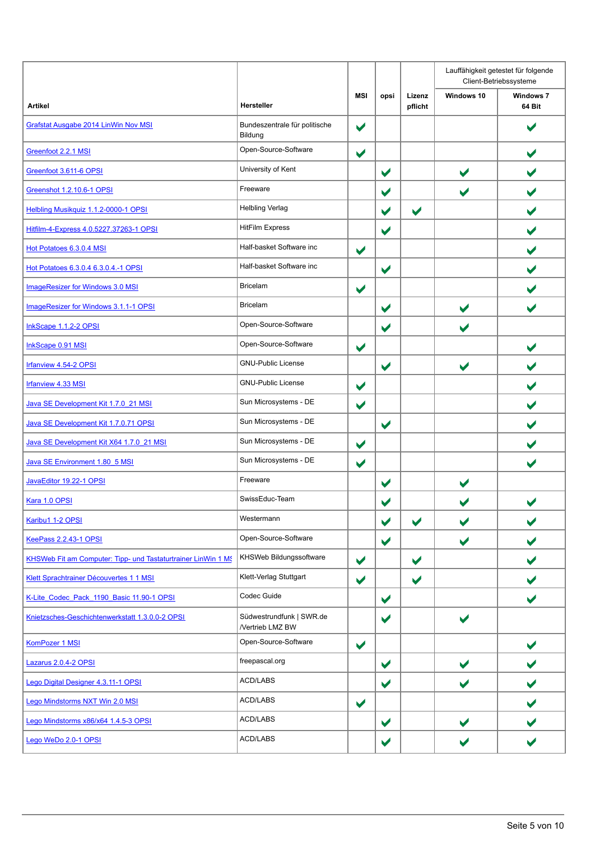|                                                               |                                              |                      |                      |                      | Lauffähigkeit getestet für folgende<br>Client-Betriebssysteme |                            |  |
|---------------------------------------------------------------|----------------------------------------------|----------------------|----------------------|----------------------|---------------------------------------------------------------|----------------------------|--|
| <b>Artikel</b>                                                | Hersteller                                   | <b>MSI</b>           | opsi                 | Lizenz<br>pflicht    | Windows 10                                                    | <b>Windows 7</b><br>64 Bit |  |
| Grafstat Ausgabe 2014 LinWin Nov MSI                          | Bundeszentrale für politische<br>Bildung     | $\blacktriangledown$ |                      |                      |                                                               |                            |  |
| Greenfoot 2.2.1 MSI                                           | Open-Source-Software                         | $\blacktriangledown$ |                      |                      |                                                               | $\blacktriangleright$      |  |
| Greenfoot 3.611-6 OPSI                                        | University of Kent                           |                      | $\blacktriangledown$ |                      | $\blacktriangledown$                                          |                            |  |
| Greenshot 1.2.10.6-1 OPSI                                     | Freeware                                     |                      | $\blacktriangledown$ |                      | $\blacktriangledown$                                          |                            |  |
| Helbling Musikquiz 1.1.2-0000-1 OPSI                          | <b>Helbling Verlag</b>                       |                      | $\blacktriangledown$ | $\blacktriangledown$ |                                                               | $\blacktriangledown$       |  |
| Hitfilm-4-Express 4.0.5227.37263-1 OPSI                       | <b>HitFilm Express</b>                       |                      | $\blacktriangledown$ |                      |                                                               |                            |  |
| Hot Potatoes 6.3.0.4 MSI                                      | Half-basket Software inc                     | $\blacktriangledown$ |                      |                      |                                                               |                            |  |
| Hot Potatoes 6.3.0.4 6.3.0.4.-1 OPSI                          | Half-basket Software inc                     |                      | $\blacktriangledown$ |                      |                                                               |                            |  |
| <b>ImageResizer for Windows 3.0 MSI</b>                       | <b>Bricelam</b>                              | $\blacktriangledown$ |                      |                      |                                                               |                            |  |
| ImageResizer for Windows 3.1.1-1 OPSI                         | <b>Bricelam</b>                              |                      | $\blacktriangledown$ |                      | $\blacktriangleright$                                         | $\blacktriangleright$      |  |
| InkScape 1.1.2-2 OPSI                                         | Open-Source-Software                         |                      | $\blacktriangledown$ |                      | $\blacktriangledown$                                          |                            |  |
| <b>InkScape 0.91 MSI</b>                                      | Open-Source-Software                         | $\blacktriangledown$ |                      |                      |                                                               |                            |  |
| Irfanview 4.54-2 OPSI                                         | <b>GNU-Public License</b>                    |                      | $\blacktriangledown$ |                      | $\blacktriangledown$                                          |                            |  |
| <b>Irfanview 4.33 MSI</b>                                     | <b>GNU-Public License</b>                    | $\blacktriangledown$ |                      |                      |                                                               | $\blacktriangleright$      |  |
| Java SE Development Kit 1.7.0 21 MSI                          | Sun Microsystems - DE                        | $\blacktriangledown$ |                      |                      |                                                               |                            |  |
| Java SE Development Kit 1.7.0.71 OPSI                         | Sun Microsystems - DE                        |                      | $\blacktriangledown$ |                      |                                                               |                            |  |
| Java SE Development Kit X64 1.7.0 21 MSI                      | Sun Microsystems - DE                        | $\blacktriangledown$ |                      |                      |                                                               |                            |  |
| Java SE Environment 1.80 5 MSI                                | Sun Microsystems - DE                        | $\blacktriangledown$ |                      |                      |                                                               | $\blacktriangleright$      |  |
| JavaEditor 19.22-1 OPSI                                       | Freeware                                     |                      | $\blacktriangledown$ |                      | $\blacktriangledown$                                          |                            |  |
| Kara 1.0 OPSI                                                 | SwissEduc-Team                               |                      |                      |                      |                                                               |                            |  |
| Karibu1 1-2 OPSI                                              | Westermann                                   |                      | $\blacktriangledown$ | $\blacktriangledown$ | $\blacktriangledown$                                          |                            |  |
| <b>KeePass 2.2.43-1 OPSI</b>                                  | Open-Source-Software                         |                      | $\blacktriangledown$ |                      | $\blacktriangledown$                                          | $\blacktriangledown$       |  |
| KHSWeb Fit am Computer: Tipp- und Tastaturtrainer LinWin 1 MS | KHSWeb Bildungssoftware                      | $\blacktriangledown$ |                      | $\blacktriangledown$ |                                                               | $\blacktriangleright$      |  |
| Klett Sprachtrainer Découvertes 1 1 MSI                       | Klett-Verlag Stuttgart                       | $\blacktriangledown$ |                      | $\blacktriangledown$ |                                                               | $\blacktriangleright$      |  |
| K-Lite Codec Pack 1190 Basic 11.90-1 OPSI                     | Codec Guide                                  |                      | $\blacktriangledown$ |                      |                                                               | $\blacktriangleright$      |  |
| Knietzsches-Geschichtenwerkstatt 1.3.0.0-2 OPSI               | Südwestrundfunk   SWR.de<br>/Vertrieb LMZ BW |                      | $\blacktriangledown$ |                      | $\blacktriangledown$                                          |                            |  |
| KomPozer 1 MSI                                                | Open-Source-Software                         | $\blacktriangledown$ |                      |                      |                                                               | $\blacktriangleright$      |  |
| Lazarus 2.0.4-2 OPSI                                          | freepascal.org                               |                      | $\blacktriangledown$ |                      | $\blacktriangledown$                                          |                            |  |
| Lego Digital Designer 4.3.11-1 OPSI                           | <b>ACD/LABS</b>                              |                      | $\blacktriangledown$ |                      | $\blacktriangledown$                                          |                            |  |
| Lego Mindstorms NXT Win 2.0 MSI                               | <b>ACD/LABS</b>                              | $\blacktriangledown$ |                      |                      |                                                               | $\blacktriangleright$      |  |
| Lego Mindstorms x86/x64 1.4.5-3 OPSI                          | <b>ACD/LABS</b>                              |                      | $\blacktriangledown$ |                      | $\blacktriangledown$                                          |                            |  |
| Lego WeDo 2.0-1 OPSI                                          | <b>ACD/LABS</b>                              |                      | $\blacktriangledown$ |                      | $\blacktriangledown$                                          |                            |  |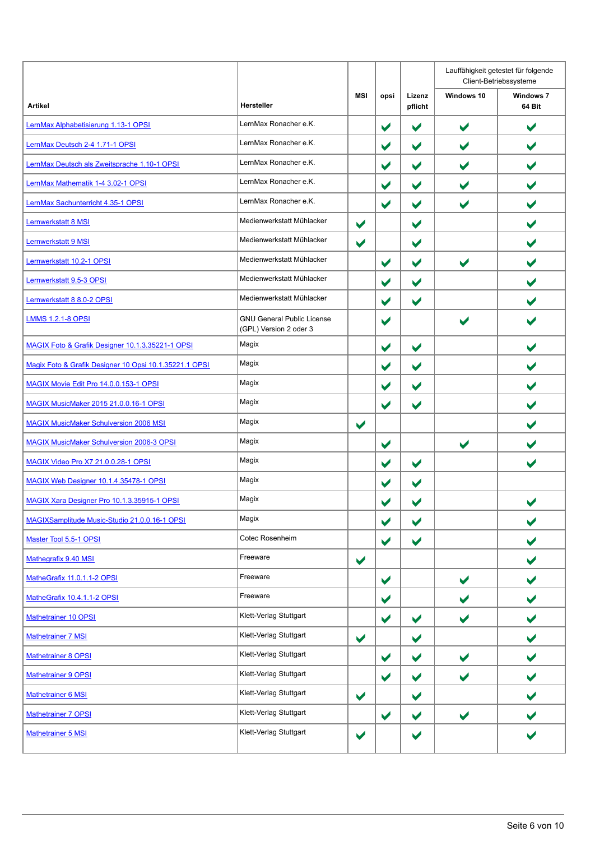|                                                        |                                                             |                      |                       |                      |                       | Lauffähigkeit getestet für folgende<br>Client-Betriebssysteme |
|--------------------------------------------------------|-------------------------------------------------------------|----------------------|-----------------------|----------------------|-----------------------|---------------------------------------------------------------|
| <b>Artikel</b>                                         | Hersteller                                                  | <b>MSI</b>           | opsi                  | Lizenz<br>pflicht    | Windows 10            | <b>Windows 7</b><br>64 Bit                                    |
| LernMax Alphabetisierung 1.13-1 OPSI                   | LernMax Ronacher e.K.                                       |                      | $\blacktriangledown$  | $\blacktriangledown$ | $\blacktriangledown$  | $\blacktriangledown$                                          |
| LernMax Deutsch 2-4 1.71-1 OPSI                        | LernMax Ronacher e.K.                                       |                      | $\blacktriangledown$  | $\blacktriangledown$ | $\blacktriangledown$  | $\blacktriangledown$                                          |
| LernMax Deutsch als Zweitsprache 1.10-1 OPSI           | LernMax Ronacher e.K.                                       |                      | $\blacktriangledown$  | $\blacktriangledown$ | $\blacktriangledown$  | $\blacktriangledown$                                          |
| LernMax Mathematik 1-4 3.02-1 OPSI                     | LernMax Ronacher e.K.                                       |                      | $\blacktriangledown$  | $\blacktriangledown$ | $\blacktriangledown$  |                                                               |
| LernMax Sachunterricht 4.35-1 OPSI                     | LernMax Ronacher e.K.                                       |                      | $\blacktriangledown$  | $\blacktriangledown$ | $\blacktriangleright$ |                                                               |
| Lernwerkstatt 8 MSI                                    | Medienwerkstatt Mühlacker                                   | $\blacktriangledown$ |                       | $\blacktriangledown$ |                       | $\blacktriangledown$                                          |
| <b>Lernwerkstatt 9 MSI</b>                             | Medienwerkstatt Mühlacker                                   | $\blacktriangledown$ |                       | $\blacktriangledown$ |                       | $\blacktriangleright$                                         |
| Lernwerkstatt 10.2-1 OPSI                              | Medienwerkstatt Mühlacker                                   |                      | $\blacktriangledown$  | $\blacktriangledown$ | $\blacktriangledown$  |                                                               |
| Lernwerkstatt 9.5-3 OPSI                               | Medienwerkstatt Mühlacker                                   |                      | $\blacktriangledown$  | $\blacktriangledown$ |                       |                                                               |
| Lernwerkstatt 8 8.0-2 OPSI                             | Medienwerkstatt Mühlacker                                   |                      | $\blacktriangledown$  | $\blacktriangledown$ |                       | $\blacktriangleright$                                         |
| <b>LMMS 1.2.1-8 OPSI</b>                               | <b>GNU General Public License</b><br>(GPL) Version 2 oder 3 |                      | $\blacktriangledown$  |                      | $\blacktriangleright$ |                                                               |
| MAGIX Foto & Grafik Designer 10.1.3.35221-1 OPSI       | Magix                                                       |                      | $\blacktriangledown$  | $\blacktriangledown$ |                       | $\blacktriangleright$                                         |
| Magix Foto & Grafik Designer 10 Opsi 10.1.35221.1 OPSI | Magix                                                       |                      | $\blacktriangledown$  | $\blacktriangledown$ |                       |                                                               |
| MAGIX Movie Edit Pro 14.0.0.153-1 OPSI                 | Magix                                                       |                      | $\blacktriangledown$  | $\blacktriangledown$ |                       | $\blacktriangleright$                                         |
| MAGIX MusicMaker 2015 21.0.0.16-1 OPSI                 | Magix                                                       |                      | $\blacktriangledown$  | $\blacktriangledown$ |                       |                                                               |
| <b>MAGIX MusicMaker Schulversion 2006 MSI</b>          | Magix                                                       | $\blacktriangledown$ |                       |                      |                       |                                                               |
| <b>MAGIX MusicMaker Schulversion 2006-3 OPSI</b>       | Magix                                                       |                      | $\blacktriangledown$  |                      | $\blacktriangleright$ |                                                               |
| MAGIX Video Pro X7 21.0.0.28-1 OPSI                    | Magix                                                       |                      | $\blacktriangledown$  | $\blacktriangledown$ |                       | $\blacktriangleright$                                         |
| MAGIX Web Designer 10.1.4.35478-1 OPSI                 | Magix                                                       |                      | $\blacktriangledown$  | $\blacktriangledown$ |                       |                                                               |
| MAGIX Xara Designer Pro 10.1.3.35915-1 OPSI            | Magix                                                       |                      | $\blacktriangleright$ | $\blacktriangledown$ |                       |                                                               |
| MAGIXSamplitude Music-Studio 21.0.0.16-1 OPSI          | Magix                                                       |                      | $\blacktriangledown$  | $\blacktriangledown$ |                       |                                                               |
| Master Tool 5.5-1 OPSI                                 | Cotec Rosenheim                                             |                      | $\blacktriangledown$  | $\blacktriangledown$ |                       | $\blacktriangledown$                                          |
| Mathegrafix 9.40 MSI                                   | Freeware                                                    | $\blacktriangledown$ |                       |                      |                       | V                                                             |
| MatheGrafix 11.0.1.1-2 OPSI                            | Freeware                                                    |                      | $\blacktriangledown$  |                      | $\blacktriangledown$  | $\blacktriangledown$                                          |
| MatheGrafix 10.4.1.1-2 OPSI                            | Freeware                                                    |                      | $\blacktriangledown$  |                      | $\blacktriangledown$  | $\blacktriangledown$                                          |
| Mathetrainer 10 OPSI                                   | Klett-Verlag Stuttgart                                      |                      | $\blacktriangledown$  | $\blacktriangledown$ | $\blacktriangledown$  | $\blacktriangledown$                                          |
| Mathetrainer 7 MSI                                     | Klett-Verlag Stuttgart                                      | $\blacktriangledown$ |                       | $\blacktriangledown$ |                       | $\blacktriangledown$                                          |
| Mathetrainer 8 OPSI                                    | Klett-Verlag Stuttgart                                      |                      | $\blacktriangledown$  | $\blacktriangledown$ | $\blacktriangledown$  | $\blacktriangledown$                                          |
| Mathetrainer 9 OPSI                                    | Klett-Verlag Stuttgart                                      |                      | $\blacktriangledown$  | $\blacktriangledown$ | $\blacktriangledown$  |                                                               |
| Mathetrainer 6 MSI                                     | Klett-Verlag Stuttgart                                      | $\blacktriangledown$ |                       | $\blacktriangledown$ |                       |                                                               |
| Mathetrainer 7 OPSI                                    | Klett-Verlag Stuttgart                                      |                      | $\blacktriangledown$  | $\blacktriangledown$ | $\blacktriangledown$  | $\blacktriangledown$                                          |
| Mathetrainer 5 MSI                                     | Klett-Verlag Stuttgart                                      | $\blacktriangledown$ |                       | $\blacktriangledown$ |                       |                                                               |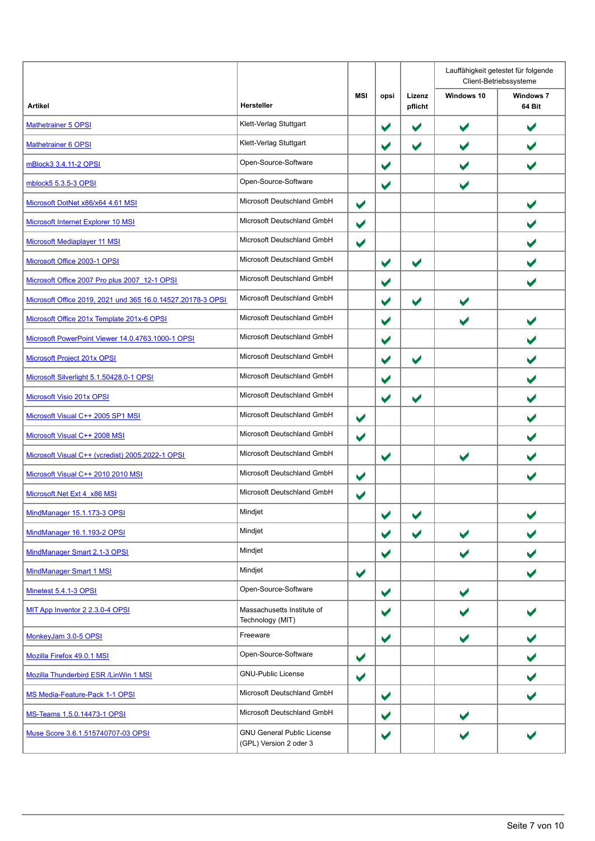|                                                             |                                                             |                      |                      |                      |                       | Lauffähigkeit getestet für folgende<br>Client-Betriebssysteme |
|-------------------------------------------------------------|-------------------------------------------------------------|----------------------|----------------------|----------------------|-----------------------|---------------------------------------------------------------|
| Artikel                                                     | <b>Hersteller</b>                                           | MSI                  | opsi                 | Lizenz<br>pflicht    | Windows 10            | <b>Windows 7</b><br>64 Bit                                    |
| <b>Mathetrainer 5 OPSI</b>                                  | Klett-Verlag Stuttgart                                      |                      | $\blacktriangledown$ | $\blacktriangledown$ | $\blacktriangledown$  | $\blacktriangleright$                                         |
| <b>Mathetrainer 6 OPSI</b>                                  | Klett-Verlag Stuttgart                                      |                      | $\blacktriangledown$ | $\blacktriangledown$ | $\blacktriangledown$  | $\blacktriangledown$                                          |
| mBlock3 3.4.11-2 OPSI                                       | Open-Source-Software                                        |                      | $\blacktriangledown$ |                      | $\blacktriangleright$ | $\blacktriangledown$                                          |
| mblock5 5.3.5-3 OPSI                                        | Open-Source-Software                                        |                      | $\blacktriangledown$ |                      | $\blacktriangledown$  |                                                               |
| Microsoft DotNet x86/x64 4.61 MSI                           | Microsoft Deutschland GmbH                                  | $\blacktriangledown$ |                      |                      |                       |                                                               |
| Microsoft Internet Explorer 10 MSI                          | Microsoft Deutschland GmbH                                  | $\blacktriangledown$ |                      |                      |                       | $\blacktriangledown$                                          |
| Microsoft Mediaplayer 11 MSI                                | Microsoft Deutschland GmbH                                  | $\blacktriangledown$ |                      |                      |                       |                                                               |
| Microsoft Office 2003-1 OPSI                                | Microsoft Deutschland GmbH                                  |                      | $\blacktriangledown$ | $\blacktriangledown$ |                       |                                                               |
| Microsoft Office 2007 Pro plus 2007 12-1 OPSI               | Microsoft Deutschland GmbH                                  |                      | $\blacktriangledown$ |                      |                       |                                                               |
| Microsoft Office 2019, 2021 und 365 16.0.14527.20178-3 OPSI | Microsoft Deutschland GmbH                                  |                      | $\blacktriangledown$ | $\blacktriangledown$ | $\blacktriangleright$ |                                                               |
| Microsoft Office 201x Template 201x-6 OPSI                  | Microsoft Deutschland GmbH                                  |                      | $\blacktriangledown$ |                      | $\blacktriangledown$  | $\blacktriangleright$                                         |
| Microsoft PowerPoint Viewer 14.0.4763.1000-1 OPSI           | Microsoft Deutschland GmbH                                  |                      | $\blacktriangledown$ |                      |                       |                                                               |
| <b>Microsoft Project 201x OPSI</b>                          | Microsoft Deutschland GmbH                                  |                      | $\blacktriangledown$ | $\blacktriangledown$ |                       |                                                               |
| Microsoft Silverlight 5.1.50428.0-1 OPSI                    | Microsoft Deutschland GmbH                                  |                      | $\blacktriangledown$ |                      |                       | $\blacktriangleright$                                         |
| Microsoft Visio 201x OPSI                                   | Microsoft Deutschland GmbH                                  |                      | $\blacktriangledown$ | $\blacktriangledown$ |                       | $\blacktriangleright$                                         |
| Microsoft Visual C++ 2005 SP1 MSI                           | Microsoft Deutschland GmbH                                  | $\blacktriangledown$ |                      |                      |                       |                                                               |
| Microsoft Visual C++ 2008 MSI                               | Microsoft Deutschland GmbH                                  | $\blacktriangledown$ |                      |                      |                       |                                                               |
| Microsoft Visual C++ (vcredist) 2005.2022-1 OPSI            | Microsoft Deutschland GmbH                                  |                      | $\blacktriangledown$ |                      | $\blacktriangleright$ |                                                               |
| Microsoft Visual C++ 2010 2010 MSI                          | Microsoft Deutschland GmbH                                  | $\blacktriangledown$ |                      |                      |                       | $\blacktriangledown$                                          |
| Microsoft.Net Ext 4 x86 MSI                                 | Microsoft Deutschland GmbH                                  | $\blacktriangledown$ |                      |                      |                       |                                                               |
| MindManager 15.1.173-3 OPSI                                 | Mindjet                                                     |                      | $\blacktriangledown$ | $\blacktriangledown$ |                       | ◢                                                             |
| MindManager 16.1.193-2 OPSI                                 | Mindjet                                                     |                      | $\blacktriangledown$ | $\blacktriangledown$ | $\blacktriangledown$  |                                                               |
| MindManager Smart 2.1-3 OPSI                                | Mindjet                                                     |                      | $\blacktriangledown$ |                      | $\blacktriangledown$  |                                                               |
| MindManager Smart 1 MSI                                     | Mindjet                                                     | $\blacktriangledown$ |                      |                      |                       | $\blacktriangleright$                                         |
| Minetest 5.4.1-3 OPSI                                       | Open-Source-Software                                        |                      | $\blacktriangledown$ |                      | $\blacktriangleright$ |                                                               |
| MIT App Inventor 2 2.3.0-4 OPSI                             | Massachusetts Institute of<br>Technology (MIT)              |                      | $\blacktriangledown$ |                      |                       |                                                               |
| MonkeyJam 3.0-5 OPSI                                        | Freeware                                                    |                      | $\blacktriangledown$ |                      | $\blacktriangledown$  | V                                                             |
| Mozilla Firefox 49.0.1 MSI                                  | Open-Source-Software                                        | $\blacktriangledown$ |                      |                      |                       |                                                               |
| <b>Mozilla Thunderbird ESR / LinWin 1 MSI</b>               | <b>GNU-Public License</b>                                   | $\blacktriangledown$ |                      |                      |                       |                                                               |
| MS Media-Feature-Pack 1-1 OPSI                              | Microsoft Deutschland GmbH                                  |                      | $\blacktriangledown$ |                      |                       |                                                               |
| MS-Teams 1.5.0.14473-1 OPSI                                 | Microsoft Deutschland GmbH                                  |                      | $\blacktriangledown$ |                      | $\blacktriangleright$ |                                                               |
| Muse Score 3.6.1.515740707-03 OPSI                          | <b>GNU General Public License</b><br>(GPL) Version 2 oder 3 |                      | ✔                    |                      | $\blacktriangleright$ |                                                               |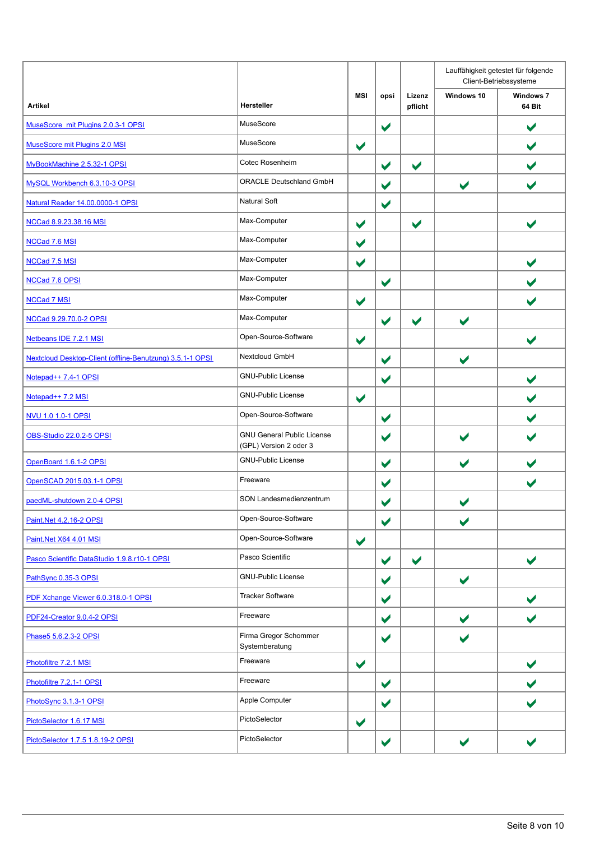|                                                           |                                                             |                      |                      |                      |                       | Lauffähigkeit getestet für folgende<br>Client-Betriebssysteme |
|-----------------------------------------------------------|-------------------------------------------------------------|----------------------|----------------------|----------------------|-----------------------|---------------------------------------------------------------|
| <b>Artikel</b>                                            | Hersteller                                                  | <b>MSI</b>           | opsi                 | Lizenz<br>pflicht    | Windows 10            | <b>Windows 7</b><br>64 Bit                                    |
| MuseScore mit Plugins 2.0.3-1 OPSI                        | MuseScore                                                   |                      | $\blacktriangledown$ |                      |                       | $\blacktriangledown$                                          |
| MuseScore mit Plugins 2.0 MSI                             | MuseScore                                                   | $\blacktriangledown$ |                      |                      |                       | $\blacktriangleright$                                         |
| MyBookMachine 2.5.32-1 OPSI                               | Cotec Rosenheim                                             |                      | $\blacktriangledown$ | $\blacktriangledown$ |                       |                                                               |
| MySQL Workbench 6.3.10-3 OPSI                             | <b>ORACLE Deutschland GmbH</b>                              |                      | $\blacktriangledown$ |                      | $\blacktriangledown$  |                                                               |
| Natural Reader 14.00.0000-1 OPSI                          | <b>Natural Soft</b>                                         |                      | $\blacktriangledown$ |                      |                       |                                                               |
| NCCad 8.9.23.38.16 MSI                                    | Max-Computer                                                | $\blacktriangledown$ |                      | $\blacktriangledown$ |                       | $\blacktriangledown$                                          |
| <b>NCCad 7.6 MSI</b>                                      | Max-Computer                                                | $\blacktriangledown$ |                      |                      |                       |                                                               |
| NCCad 7.5 MSI                                             | Max-Computer                                                | $\blacktriangledown$ |                      |                      |                       |                                                               |
| NCCad 7.6 OPSI                                            | Max-Computer                                                |                      | $\blacktriangledown$ |                      |                       |                                                               |
| <b>NCCad 7 MSI</b>                                        | Max-Computer                                                | $\blacktriangledown$ |                      |                      |                       |                                                               |
| NCCad 9.29.70.0-2 OPSI                                    | Max-Computer                                                |                      | $\blacktriangledown$ | $\blacktriangledown$ | $\blacktriangleright$ |                                                               |
| Netbeans IDE 7.2.1 MSI                                    | Open-Source-Software                                        | $\blacktriangledown$ |                      |                      |                       | $\blacktriangleright$                                         |
| Nextcloud Desktop-Client (offline-Benutzung) 3.5.1-1 OPSI | Nextcloud GmbH                                              |                      | $\blacktriangledown$ |                      | $\blacktriangleright$ |                                                               |
| Notepad++ 7.4-1 OPSI                                      | <b>GNU-Public License</b>                                   |                      | $\blacktriangledown$ |                      |                       | $\blacktriangledown$                                          |
| Notepad++ 7.2 MSI                                         | <b>GNU-Public License</b>                                   | $\blacktriangledown$ |                      |                      |                       | $\blacktriangleright$                                         |
| NVU 1.0 1.0-1 OPSI                                        | Open-Source-Software                                        |                      | $\blacktriangledown$ |                      |                       |                                                               |
| OBS-Studio 22.0.2-5 OPSI                                  | <b>GNU General Public License</b><br>(GPL) Version 2 oder 3 |                      | $\blacktriangledown$ |                      |                       |                                                               |
| OpenBoard 1.6.1-2 OPSI                                    | <b>GNU-Public License</b>                                   |                      | $\blacktriangledown$ |                      | $\blacktriangledown$  |                                                               |
| OpenSCAD 2015.03.1-1 OPSI                                 | Freeware                                                    |                      | $\blacktriangledown$ |                      |                       | V                                                             |
| paedML-shutdown 2.0-4 OPSI                                | SON Landesmedienzentrum                                     |                      | $\blacktriangledown$ |                      |                       |                                                               |
| Paint.Net 4.2.16-2 OPSI                                   | Open-Source-Software                                        |                      | $\blacktriangledown$ |                      | $\blacktriangledown$  |                                                               |
| Paint.Net X64 4.01 MSI                                    | Open-Source-Software                                        | $\blacktriangledown$ |                      |                      |                       |                                                               |
| Pasco Scientific DataStudio 1.9.8.r10-1 OPSI              | Pasco Scientific                                            |                      | $\blacktriangledown$ | $\blacktriangledown$ |                       | $\blacktriangledown$                                          |
| PathSync 0.35-3 OPSI                                      | <b>GNU-Public License</b>                                   |                      | $\blacktriangledown$ |                      | $\blacktriangledown$  |                                                               |
| PDF Xchange Viewer 6.0.318.0-1 OPSI                       | <b>Tracker Software</b>                                     |                      | $\blacktriangledown$ |                      |                       |                                                               |
| PDF24-Creator 9.0.4-2 OPSI                                | Freeware                                                    |                      | $\blacktriangledown$ |                      | $\blacktriangledown$  |                                                               |
| Phase5 5.6.2.3-2 OPSI                                     | Firma Gregor Schommer<br>Systemberatung                     |                      | $\blacktriangledown$ |                      | $\blacktriangledown$  |                                                               |
| Photofiltre 7.2.1 MSI                                     | Freeware                                                    | $\blacktriangledown$ |                      |                      |                       | $\blacktriangleright$                                         |
| Photofiltre 7.2.1-1 OPSI                                  | Freeware                                                    |                      | $\blacktriangledown$ |                      |                       |                                                               |
| PhotoSync 3.1.3-1 OPSI                                    | Apple Computer                                              |                      | $\blacktriangledown$ |                      |                       | $\blacktriangleright$                                         |
| PictoSelector 1.6.17 MSI                                  | PictoSelector                                               | $\blacktriangledown$ |                      |                      |                       |                                                               |
| PictoSelector 1.7.5 1.8.19-2 OPSI                         | PictoSelector                                               |                      | $\blacktriangledown$ |                      | $\blacktriangledown$  |                                                               |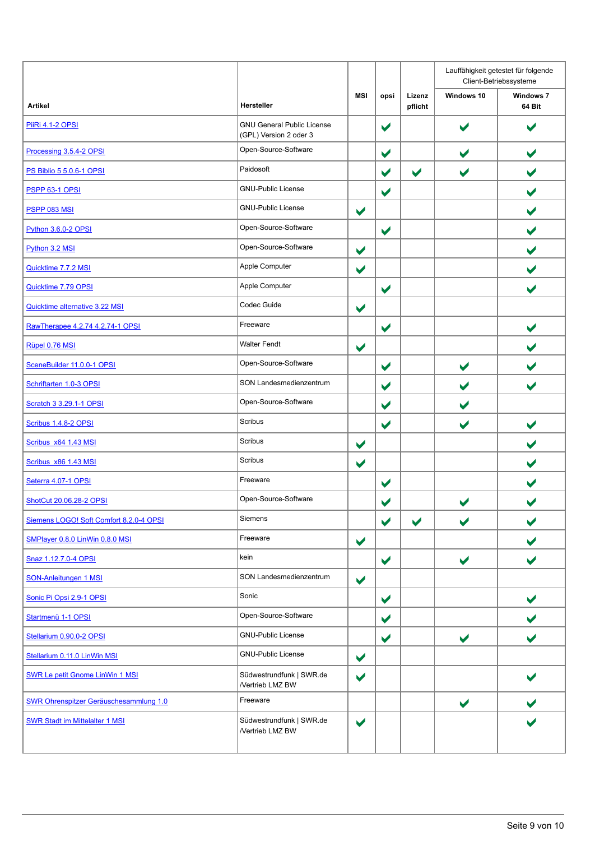|                                               |                                                             |                      |                      |                      |                       | Lauffähigkeit getestet für folgende<br>Client-Betriebssysteme |  |
|-----------------------------------------------|-------------------------------------------------------------|----------------------|----------------------|----------------------|-----------------------|---------------------------------------------------------------|--|
| <b>Artikel</b>                                | Hersteller                                                  | <b>MSI</b>           | opsi                 | Lizenz<br>pflicht    | Windows 10            | <b>Windows 7</b><br>64 Bit                                    |  |
| <b>PiiRi 4.1-2 OPSI</b>                       | <b>GNU General Public License</b><br>(GPL) Version 2 oder 3 |                      | $\blacktriangledown$ |                      |                       |                                                               |  |
| Processing 3.5.4-2 OPSI                       | Open-Source-Software                                        |                      | $\blacktriangledown$ |                      | $\blacktriangledown$  | $\blacktriangleright$                                         |  |
| <b>PS Biblio 5 5.0.6-1 OPSI</b>               | Paidosoft                                                   |                      | $\blacktriangledown$ | $\blacktriangledown$ | $\blacktriangledown$  |                                                               |  |
| <b>PSPP 63-1 OPSI</b>                         | <b>GNU-Public License</b>                                   |                      | $\blacktriangledown$ |                      |                       |                                                               |  |
| <b>PSPP 083 MSI</b>                           | <b>GNU-Public License</b>                                   | $\blacktriangledown$ |                      |                      |                       | $\blacktriangledown$                                          |  |
| Python 3.6.0-2 OPSI                           | Open-Source-Software                                        |                      | $\blacktriangledown$ |                      |                       | $\blacktriangleright$                                         |  |
| Python 3.2 MSI                                | Open-Source-Software                                        | $\blacktriangledown$ |                      |                      |                       |                                                               |  |
| Quicktime 7.7.2 MSI                           | Apple Computer                                              | $\blacktriangledown$ |                      |                      |                       |                                                               |  |
| Quicktime 7.79 OPSI                           | Apple Computer                                              |                      | $\blacktriangledown$ |                      |                       |                                                               |  |
| Quicktime alternative 3.22 MSI                | Codec Guide                                                 | $\blacktriangledown$ |                      |                      |                       |                                                               |  |
| RawTherapee 4.2.74 4.2.74-1 OPSI              | Freeware                                                    |                      | $\blacktriangledown$ |                      |                       | $\blacktriangleright$                                         |  |
| Rüpel 0.76 MSI                                | <b>Walter Fendt</b>                                         | $\blacktriangledown$ |                      |                      |                       |                                                               |  |
| SceneBuilder 11.0.0-1 OPSI                    | Open-Source-Software                                        |                      | $\blacktriangledown$ |                      | $\blacktriangledown$  |                                                               |  |
| Schriftarten 1.0-3 OPSI                       | SON Landesmedienzentrum                                     |                      | $\blacktriangledown$ |                      | $\blacktriangledown$  |                                                               |  |
| <b>Scratch 3 3.29.1-1 OPSI</b>                | Open-Source-Software                                        |                      | $\blacktriangledown$ |                      | $\blacktriangledown$  |                                                               |  |
| Scribus 1.4.8-2 OPSI                          | Scribus                                                     |                      | $\blacktriangledown$ |                      | $\blacktriangledown$  |                                                               |  |
| Scribus x64 1.43 MSI                          | Scribus                                                     | $\blacktriangledown$ |                      |                      |                       |                                                               |  |
| Scribus x86 1.43 MSI                          | Scribus                                                     | $\blacktriangledown$ |                      |                      |                       | $\blacktriangledown$                                          |  |
| Seterra 4.07-1 OPSI                           | Freeware                                                    |                      | $\blacktriangledown$ |                      |                       |                                                               |  |
| ShotCut 20.06.28-2 OPSI                       | Open-Source-Software                                        |                      | ✔                    |                      |                       |                                                               |  |
| Siemens LOGO! Soft Comfort 8.2.0-4 OPSI       | Siemens                                                     |                      | $\blacktriangledown$ | $\blacktriangledown$ | $\blacktriangleright$ |                                                               |  |
| SMPlayer 0.8.0 LinWin 0.8.0 MSI               | Freeware                                                    | $\blacktriangledown$ |                      |                      |                       |                                                               |  |
| Snaz 1.12.7.0-4 OPSI                          | kein                                                        |                      | $\blacktriangledown$ |                      | $\blacktriangledown$  | $\blacktriangleright$                                         |  |
| <b>SON-Anleitungen 1 MSI</b>                  | SON Landesmedienzentrum                                     | $\blacktriangledown$ |                      |                      |                       |                                                               |  |
| Sonic Pi Opsi 2.9-1 OPSI                      | Sonic                                                       |                      | $\blacktriangledown$ |                      |                       |                                                               |  |
| Startmenü 1-1 OPSI                            | Open-Source-Software                                        |                      | $\blacktriangledown$ |                      |                       |                                                               |  |
| Stellarium 0.90.0-2 OPSI                      | <b>GNU-Public License</b>                                   |                      | $\blacktriangledown$ |                      | $\blacktriangledown$  | $\blacktriangleright$                                         |  |
| Stellarium 0.11.0 LinWin MSI                  | <b>GNU-Public License</b>                                   | $\blacktriangledown$ |                      |                      |                       |                                                               |  |
| <b>SWR Le petit Gnome LinWin 1 MSI</b>        | Südwestrundfunk   SWR.de<br>/Vertrieb LMZ BW                | $\blacktriangledown$ |                      |                      |                       |                                                               |  |
| <b>SWR Ohrenspitzer Geräuschesammlung 1.0</b> | Freeware                                                    |                      |                      |                      | $\blacktriangledown$  |                                                               |  |
| <b>SWR Stadt im Mittelalter 1 MSI</b>         | Südwestrundfunk   SWR.de<br>/Vertrieb LMZ BW                | $\blacktriangledown$ |                      |                      |                       |                                                               |  |
|                                               |                                                             |                      |                      |                      |                       |                                                               |  |